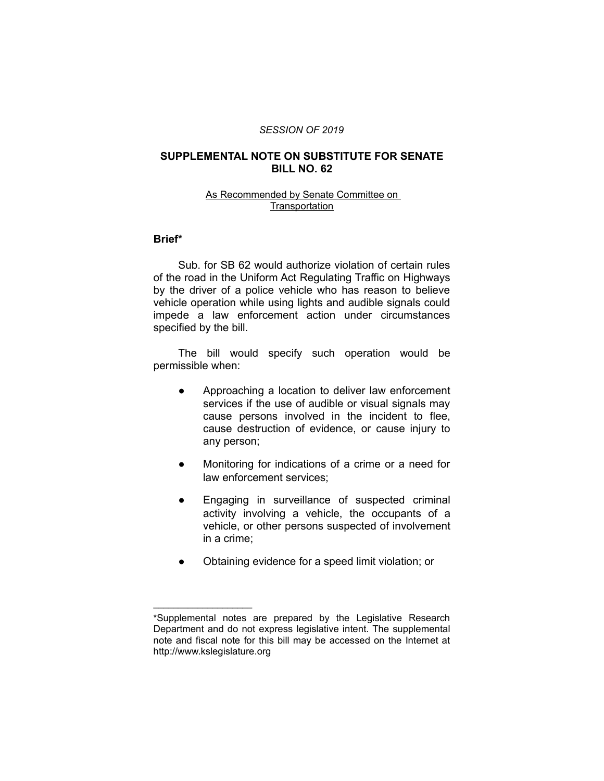#### *SESSION OF 2019*

## **SUPPLEMENTAL NOTE ON SUBSTITUTE FOR SENATE BILL NO. 62**

### As Recommended by Senate Committee on **Transportation**

# **Brief\***

Sub. for SB 62 would authorize violation of certain rules of the road in the Uniform Act Regulating Traffic on Highways by the driver of a police vehicle who has reason to believe vehicle operation while using lights and audible signals could impede a law enforcement action under circumstances specified by the bill.

The bill would specify such operation would be permissible when:

- Approaching a location to deliver law enforcement services if the use of audible or visual signals may cause persons involved in the incident to flee, cause destruction of evidence, or cause injury to any person;
- Monitoring for indications of a crime or a need for law enforcement services;
- Engaging in surveillance of suspected criminal activity involving a vehicle, the occupants of a vehicle, or other persons suspected of involvement in a crime;
- Obtaining evidence for a speed limit violation; or

 $\overline{\phantom{a}}$  , where  $\overline{\phantom{a}}$  , where  $\overline{\phantom{a}}$ 

<sup>\*</sup>Supplemental notes are prepared by the Legislative Research Department and do not express legislative intent. The supplemental note and fiscal note for this bill may be accessed on the Internet at http://www.kslegislature.org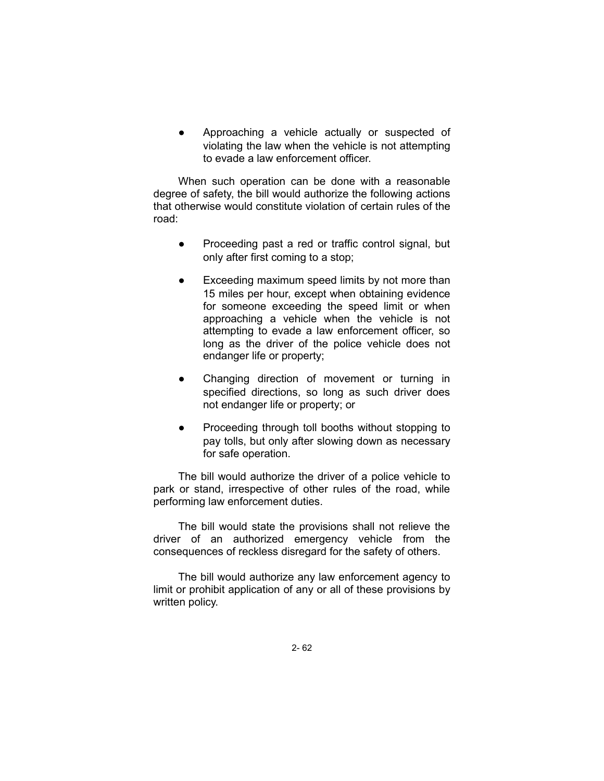Approaching a vehicle actually or suspected of violating the law when the vehicle is not attempting to evade a law enforcement officer.

When such operation can be done with a reasonable degree of safety, the bill would authorize the following actions that otherwise would constitute violation of certain rules of the road:

- Proceeding past a red or traffic control signal, but only after first coming to a stop;
- Exceeding maximum speed limits by not more than 15 miles per hour, except when obtaining evidence for someone exceeding the speed limit or when approaching a vehicle when the vehicle is not attempting to evade a law enforcement officer, so long as the driver of the police vehicle does not endanger life or property;
- Changing direction of movement or turning in specified directions, so long as such driver does not endanger life or property; or
- Proceeding through toll booths without stopping to pay tolls, but only after slowing down as necessary for safe operation.

The bill would authorize the driver of a police vehicle to park or stand, irrespective of other rules of the road, while performing law enforcement duties.

The bill would state the provisions shall not relieve the driver of an authorized emergency vehicle from the consequences of reckless disregard for the safety of others.

The bill would authorize any law enforcement agency to limit or prohibit application of any or all of these provisions by written policy.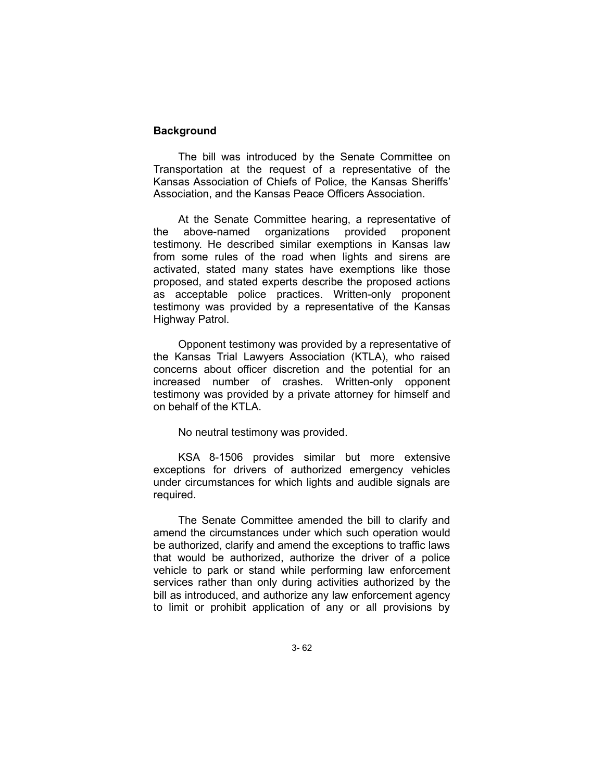# **Background**

The bill was introduced by the Senate Committee on Transportation at the request of a representative of the Kansas Association of Chiefs of Police, the Kansas Sheriffs' Association, and the Kansas Peace Officers Association.

At the Senate Committee hearing, a representative of the above-named organizations provided proponent testimony. He described similar exemptions in Kansas law from some rules of the road when lights and sirens are activated, stated many states have exemptions like those proposed, and stated experts describe the proposed actions as acceptable police practices. Written-only proponent testimony was provided by a representative of the Kansas Highway Patrol.

Opponent testimony was provided by a representative of the Kansas Trial Lawyers Association (KTLA), who raised concerns about officer discretion and the potential for an increased number of crashes. Written-only opponent testimony was provided by a private attorney for himself and on behalf of the KTLA.

No neutral testimony was provided.

KSA 8-1506 provides similar but more extensive exceptions for drivers of authorized emergency vehicles under circumstances for which lights and audible signals are required.

The Senate Committee amended the bill to clarify and amend the circumstances under which such operation would be authorized, clarify and amend the exceptions to traffic laws that would be authorized, authorize the driver of a police vehicle to park or stand while performing law enforcement services rather than only during activities authorized by the bill as introduced, and authorize any law enforcement agency to limit or prohibit application of any or all provisions by